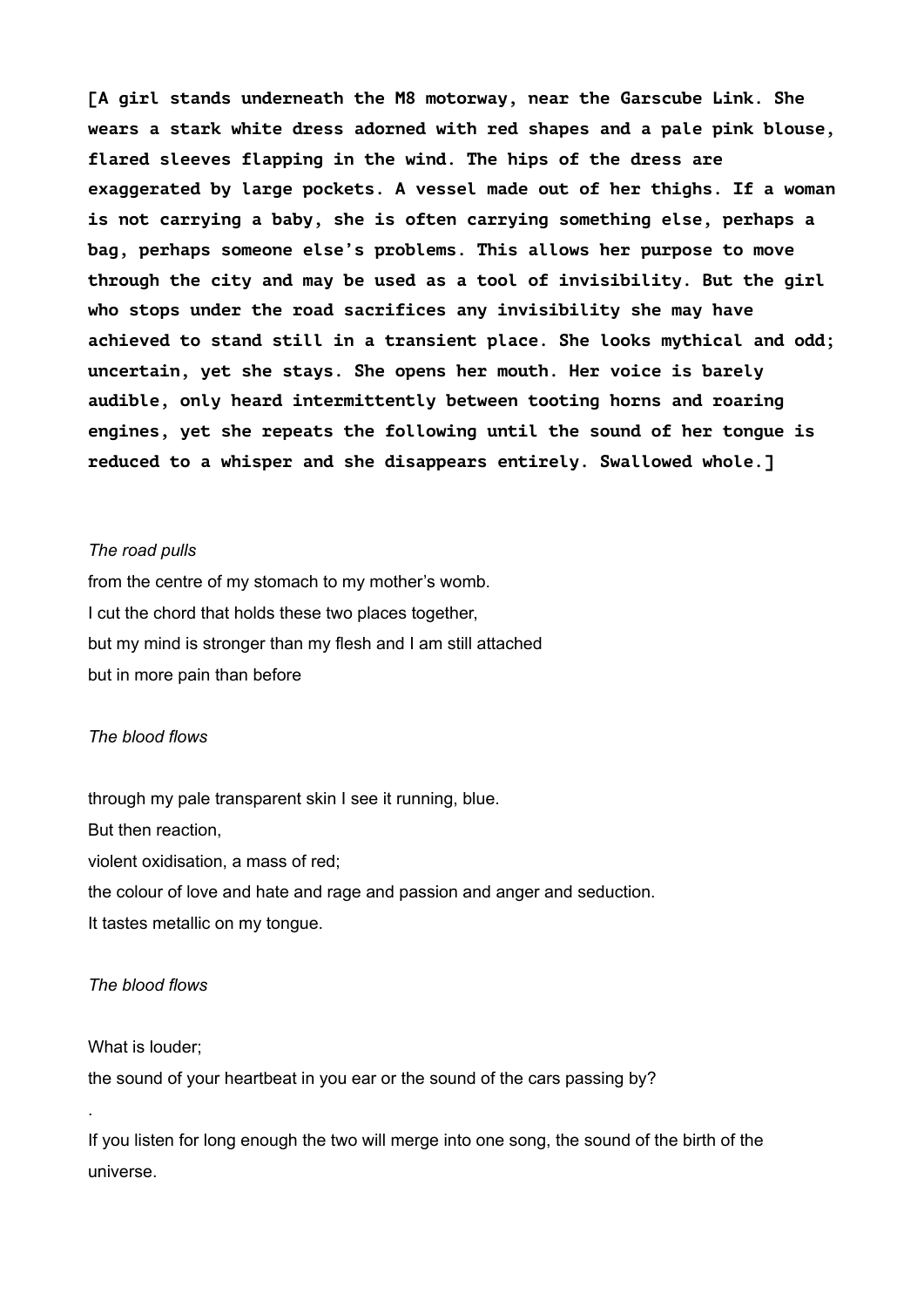**[A girl stands underneath the M8 motorway, near the Garscube Link. She wears a stark white dress adorned with red shapes and a pale pink blouse, flared sleeves flapping in the wind. The hips of the dress are exaggerated by large pockets. A vessel made out of her thighs. If a woman is not carrying a baby, she is often carrying something else, perhaps a bag, perhaps someone else's problems. This allows her purpose to move through the city and may be used as a tool of invisibility. But the girl who stops under the road sacrifices any invisibility she may have achieved to stand still in a transient place. She looks mythical and odd; uncertain, yet she stays. She opens her mouth. Her voice is barely audible, only heard intermittently between tooting horns and roaring engines, yet she repeats the following until the sound of her tongue is reduced to a whisper and she disappears entirely. Swallowed whole.]**

#### *The road pulls*

from the centre of my stomach to my mother's womb. I cut the chord that holds these two places together, but my mind is stronger than my flesh and I am still attached but in more pain than before

#### *The blood flows*

through my pale transparent skin I see it running, blue. But then reaction, violent oxidisation, a mass of red; the colour of love and hate and rage and passion and anger and seduction. It tastes metallic on my tongue.

#### *The blood flows*

What is louder;

.

the sound of your heartbeat in you ear or the sound of the cars passing by?

If you listen for long enough the two will merge into one song, the sound of the birth of the universe.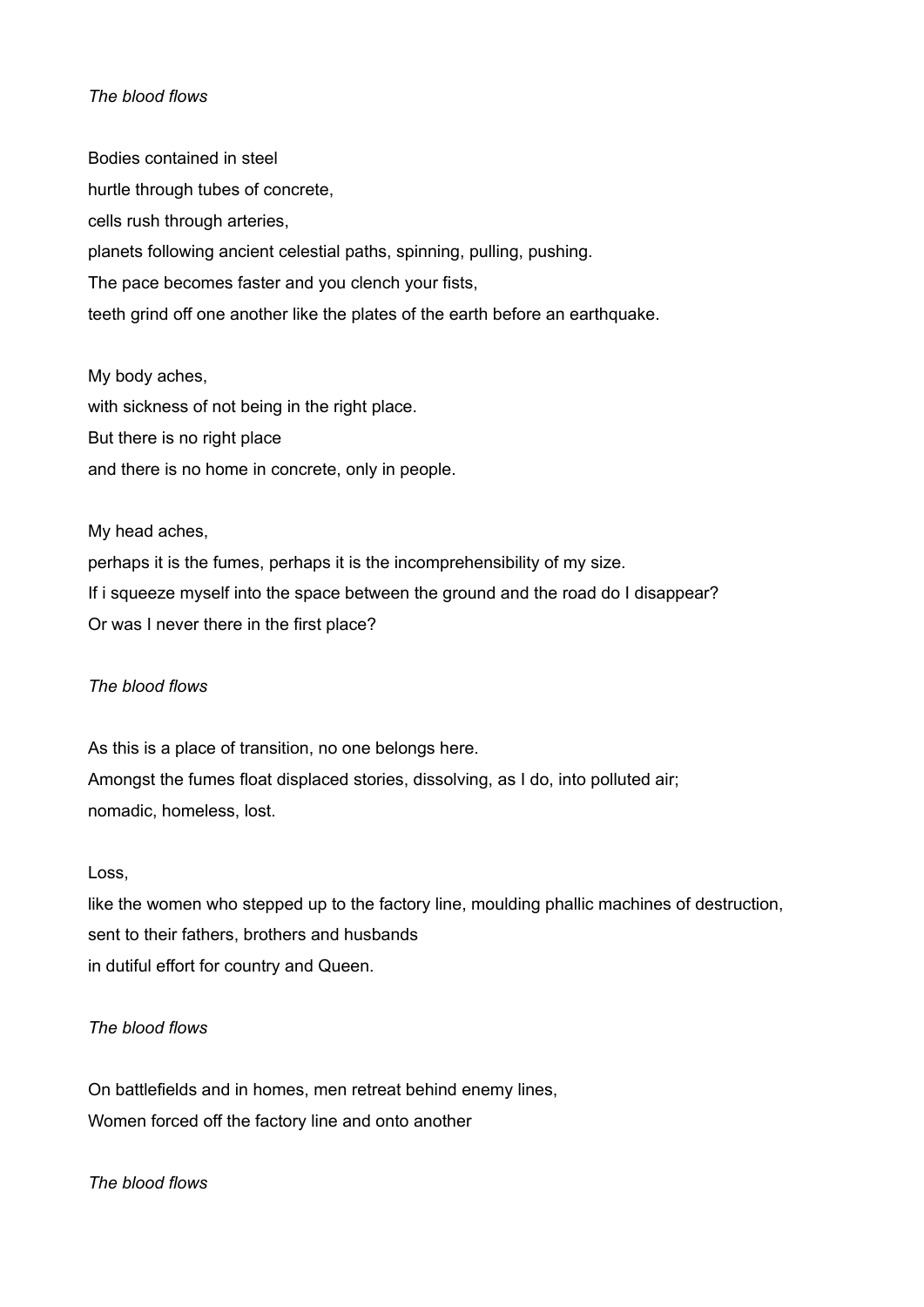## *The blood flows*

Bodies contained in steel hurtle through tubes of concrete, cells rush through arteries, planets following ancient celestial paths, spinning, pulling, pushing. The pace becomes faster and you clench your fists, teeth grind off one another like the plates of the earth before an earthquake.

My body aches, with sickness of not being in the right place. But there is no right place and there is no home in concrete, only in people.

My head aches, perhaps it is the fumes, perhaps it is the incomprehensibility of my size. If i squeeze myself into the space between the ground and the road do I disappear? Or was I never there in the first place?

## *The blood flows*

As this is a place of transition, no one belongs here. Amongst the fumes float displaced stories, dissolving, as I do, into polluted air; nomadic, homeless, lost.

## Loss,

like the women who stepped up to the factory line, moulding phallic machines of destruction, sent to their fathers, brothers and husbands in dutiful effort for country and Queen.

## *The blood flows*

On battlefields and in homes, men retreat behind enemy lines, Women forced off the factory line and onto another

*The blood flows*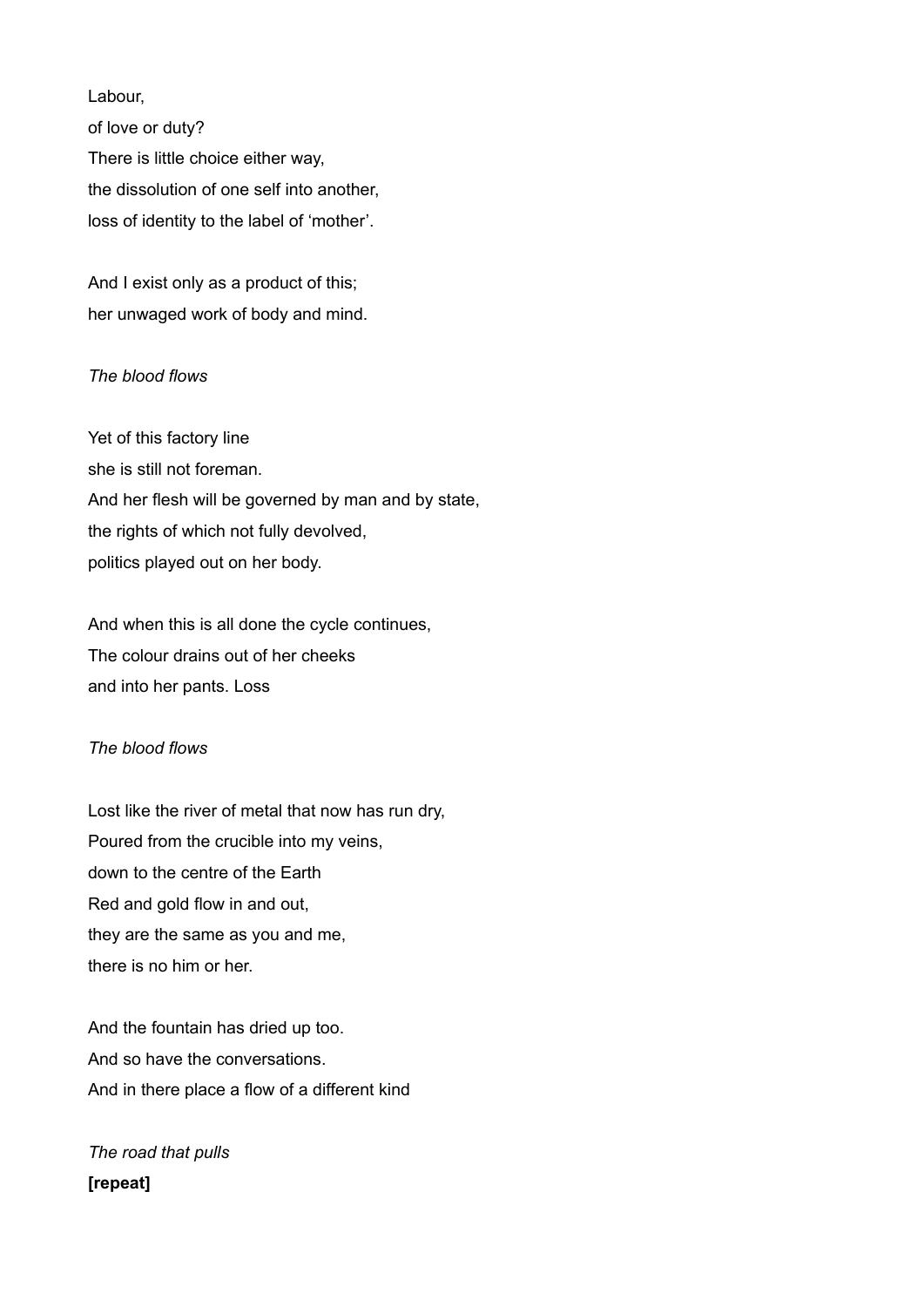Labour,

of love or duty? There is little choice either way, the dissolution of one self into another, loss of identity to the label of 'mother'.

And I exist only as a product of this; her unwaged work of body and mind.

## *The blood flows*

Yet of this factory line she is still not foreman. And her flesh will be governed by man and by state, the rights of which not fully devolved, politics played out on her body.

And when this is all done the cycle continues, The colour drains out of her cheeks and into her pants. Loss

# *The blood flows*

Lost like the river of metal that now has run dry, Poured from the crucible into my veins, down to the centre of the Earth Red and gold flow in and out, they are the same as you and me, there is no him or her.

And the fountain has dried up too. And so have the conversations. And in there place a flow of a different kind

*The road that pulls*  **[repeat]**